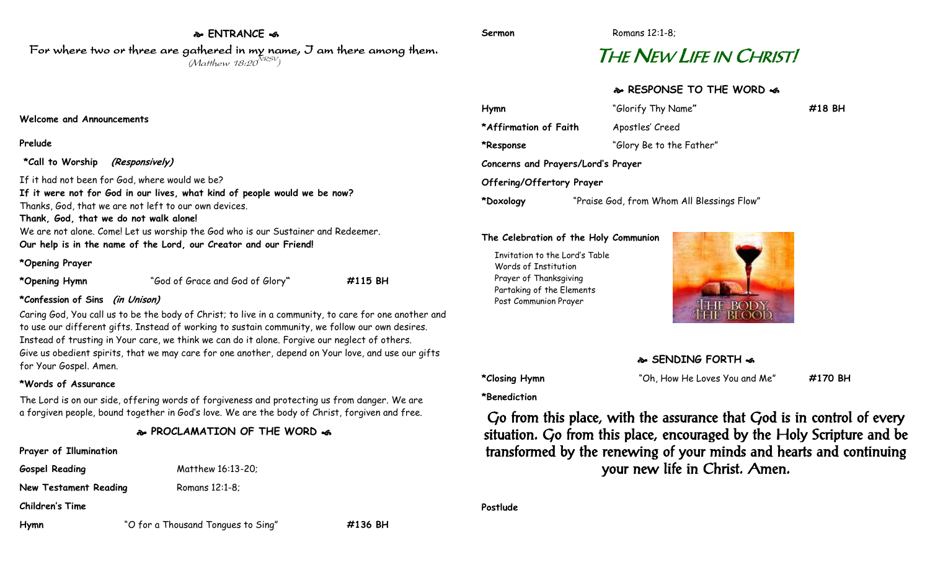## **ENTRANCE**  For where two or three are gathered in my name, I am there among them.

 $(M$ atthew 18:20 $^{NRSV})$ 

# THE NEW LIFE IN CHRIST!

### **RESPONSE TO THE WORD**

| Hymn                               | "Glorify Thy Name"                         | $\#18$ BH |
|------------------------------------|--------------------------------------------|-----------|
| *Affirmation of Faith              | Apostles' Creed                            |           |
| *Response                          | "Glory Be to the Father"                   |           |
| Concerns and Prayers/Lord's Prayer |                                            |           |
| Offering/Offertory Prayer          |                                            |           |
| *Doxology                          | "Praise God, from Whom All Blessings Flow" |           |

#### **The Celebration of the Holy Communion**

Invitation to the Lord's Table Words of Institution Prayer of Thanksgiving Partaking of the Elements Post Communion Prayer



#### **SENDING FORTH**

**\*Closing Hymn** "Oh, How He Loves You and Me" **#170 BH**

**\*Benediction**

Go from this place, with the assurance that God is in control of every situation. Go from this place, encouraged by the Holy Scripture and be transformed by the renewing of your minds and hearts and continuing your new life in Christ. Amen.

**Postlude**

**Hymn** "O for a Thousand Tongues to Sing" **#136 BH**

#### **Welcome and Announcements**

#### **Prelude**

**\*Call to Worship (Responsively)**

If it had not been for God, where would we be? **If it were not for God in our lives, what kind of people would we be now?** 

Thanks, God, that we are not left to our own devices.

**Thank, God, that we do not walk alone!**

We are not alone. Come! Let us worship the God who is our Sustainer and Redeemer.

**Our help is in the name of the Lord, our Creator and our Friend!**

#### **\*Opening Prayer**

**\*Opening Hymn** "God of Grace and God of Glory**" #115 BH**

#### **\*Confession of Sins (in Unison)**

Caring God, You call us to be the body of Christ; to live in a community, to care for one another and to use our different gifts. Instead of working to sustain community, we follow our own desires. Instead of trusting in Your care, we think we can do it alone. Forgive our neglect of others. Give us obedient spirits, that we may care for one another, depend on Your love, and use our gifts for Your Gospel. Amen.

#### **\*Words of Assurance**

The Lord is on our side, offering words of forgiveness and protecting us from danger. We are a forgiven people, bound together in God's love. We are the body of Christ, forgiven and free.

#### **PROCLAMATION OF THE WORD**

**Prayer of Illumination Gospel Reading** Matthew 16:13-20; **New Testament Reading Romans 12:1-8; Children's Time**